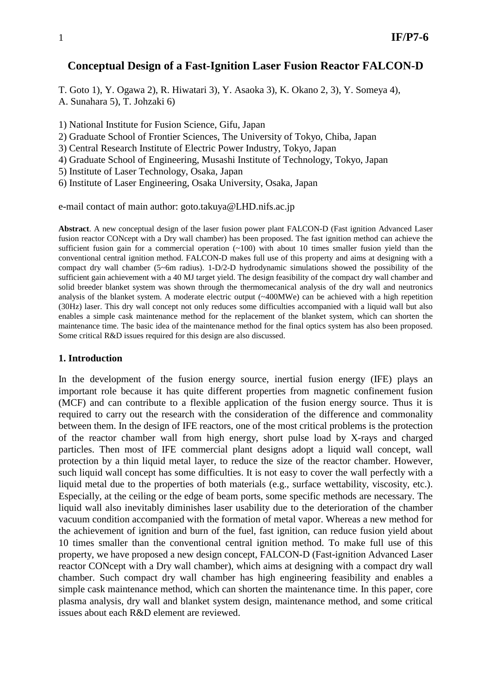#### **Conceptual Design of a Fast-Ignition Laser Fusion Reactor FALCON-D**

T. Goto 1), Y. Ogawa 2), R. Hiwatari 3), Y. Asaoka 3), K. Okano 2, 3), Y. Someya 4), A. Sunahara 5), T. Johzaki 6)

1) National Institute for Fusion Science, Gifu, Japan

- 2) Graduate School of Frontier Sciences, The University of Tokyo, Chiba, Japan
- 3) Central Research Institute of Electric Power Industry, Tokyo, Japan
- 4) Graduate School of Engineering, Musashi Institute of Technology, Tokyo, Japan

5) Institute of Laser Technology, Osaka, Japan

6) Institute of Laser Engineering, Osaka University, Osaka, Japan

e-mail contact of main author: goto.takuya@LHD.nifs.ac.jp

**Abstract**. A new conceptual design of the laser fusion power plant FALCON-D (Fast ignition Advanced Laser fusion reactor CONcept with a Dry wall chamber) has been proposed. The fast ignition method can achieve the sufficient fusion gain for a commercial operation  $(-100)$  with about 10 times smaller fusion yield than the conventional central ignition method. FALCON-D makes full use of this property and aims at designing with a compact dry wall chamber (5~6m radius). 1-D/2-D hydrodynamic simulations showed the possibility of the sufficient gain achievement with a 40 MJ target yield. The design feasibility of the compact dry wall chamber and solid breeder blanket system was shown through the thermomecanical analysis of the dry wall and neutronics analysis of the blanket system. A moderate electric output (~400MWe) can be achieved with a high repetition (30Hz) laser. This dry wall concept not only reduces some difficulties accompanied with a liquid wall but also enables a simple cask maintenance method for the replacement of the blanket system, which can shorten the maintenance time. The basic idea of the maintenance method for the final optics system has also been proposed. Some critical R&D issues required for this design are also discussed.

#### **1. Introduction**

In the development of the fusion energy source, inertial fusion energy (IFE) plays an important role because it has quite different properties from magnetic confinement fusion (MCF) and can contribute to a flexible application of the fusion energy source. Thus it is required to carry out the research with the consideration of the difference and commonality between them. In the design of IFE reactors, one of the most critical problems is the protection of the reactor chamber wall from high energy, short pulse load by X-rays and charged particles. Then most of IFE commercial plant designs adopt a liquid wall concept, wall protection by a thin liquid metal layer, to reduce the size of the reactor chamber. However, such liquid wall concept has some difficulties. It is not easy to cover the wall perfectly with a liquid metal due to the properties of both materials (e.g., surface wettability, viscosity, etc.). Especially, at the ceiling or the edge of beam ports, some specific methods are necessary. The liquid wall also inevitably diminishes laser usability due to the deterioration of the chamber vacuum condition accompanied with the formation of metal vapor. Whereas a new method for the achievement of ignition and burn of the fuel, fast ignition, can reduce fusion yield about 10 times smaller than the conventional central ignition method. To make full use of this property, we have proposed a new design concept, FALCON-D (Fast-ignition Advanced Laser reactor CONcept with a Dry wall chamber), which aims at designing with a compact dry wall chamber. Such compact dry wall chamber has high engineering feasibility and enables a simple cask maintenance method, which can shorten the maintenance time. In this paper, core plasma analysis, dry wall and blanket system design, maintenance method, and some critical issues about each R&D element are reviewed.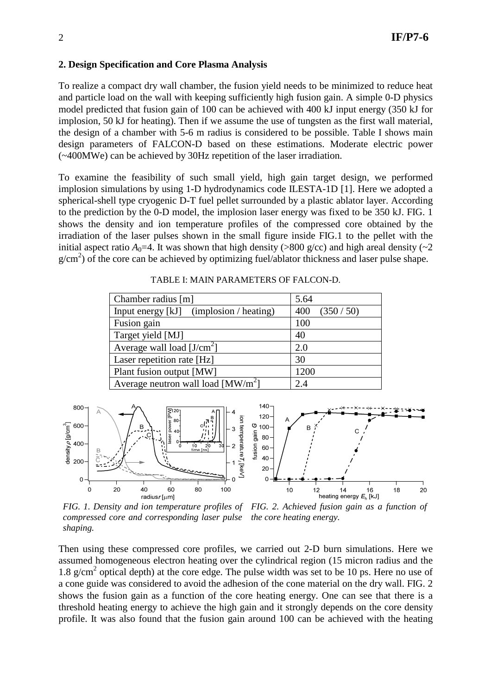#### **2. Design Specification and Core Plasma Analysis**

To realize a compact dry wall chamber, the fusion yield needs to be minimized to reduce heat and particle load on the wall with keeping sufficiently high fusion gain. A simple 0-D physics model predicted that fusion gain of 100 can be achieved with 400 kJ input energy (350 kJ for implosion, 50 kJ for heating). Then if we assume the use of tungsten as the first wall material, the design of a chamber with 5-6 m radius is considered to be possible. Table I shows main design parameters of FALCON-D based on these estimations. Moderate electric power (~400MWe) can be achieved by 30Hz repetition of the laser irradiation.

To examine the feasibility of such small yield, high gain target design, we performed implosion simulations by using 1-D hydrodynamics code ILESTA-1D [1]. Here we adopted a spherical-shell type cryogenic D-T fuel pellet surrounded by a plastic ablator layer. According to the prediction by the 0-D model, the implosion laser energy was fixed to be 350 kJ. FIG. 1 shows the density and ion temperature profiles of the compressed core obtained by the irradiation of the laser pulses shown in the small figure inside FIG.1 to the pellet with the initial aspect ratio  $A_0=4$ . It was shown that high density (>800 g/cc) and high areal density ( $\sim$ 2  $g/cm<sup>2</sup>$ ) of the core can be achieved by optimizing fuel/ablator thickness and laser pulse shape.

| Chamber radius [m]                      | 5.64            |
|-----------------------------------------|-----------------|
| Input energy [kJ] (implosion / heating) | (350/50)<br>400 |
| Fusion gain                             | 100             |
| Target yield [MJ]                       | 40              |
| Average wall load $[J/cm^2]$            | 2.0             |
| Laser repetition rate [Hz]              | 30              |
| Plant fusion output [MW]                | 1200            |
| Average neutron wall load $[MW/m^2]$    | 2.4             |

TABLE I: MAIN PARAMETERS OF FALCON-D.



*FIG. 1. Density and ion temperature profiles of FIG. 2. Achieved fusion gain as a function of compressed core and corresponding laser pulse the core heating energy.shaping.*

Then using these compressed core profiles, we carried out 2-D burn simulations. Here we assumed homogeneous electron heating over the cylindrical region (15 micron radius and the 1.8 g/cm<sup>2</sup> optical depth) at the core edge. The pulse width was set to be 10 ps. Here no use of a cone guide was considered to avoid the adhesion of the cone material on the dry wall. FIG. 2 shows the fusion gain as a function of the core heating energy. One can see that there is a threshold heating energy to achieve the high gain and it strongly depends on the core density profile. It was also found that the fusion gain around 100 can be achieved with the heating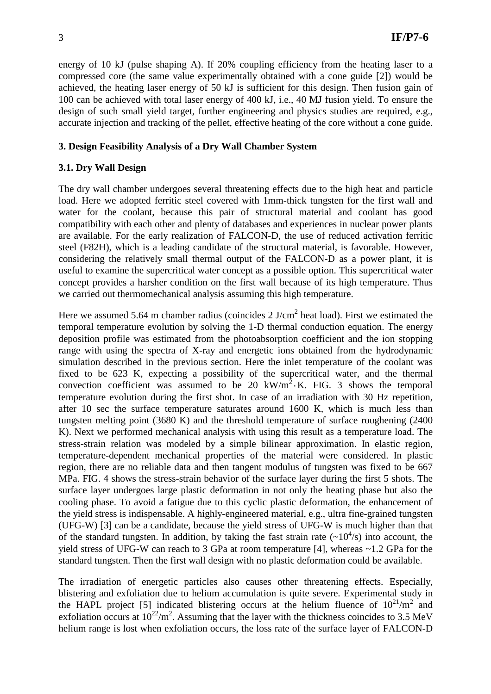energy of 10 kJ (pulse shaping A). If 20% coupling efficiency from the heating laser to a compressed core (the same value experimentally obtained with a cone guide [2]) would be achieved, the heating laser energy of 50 kJ is sufficient for this design. Then fusion gain of 100 can be achieved with total laser energy of 400 kJ, i.e., 40 MJ fusion yield. To ensure the design of such small yield target, further engineering and physics studies are required, e.g., accurate injection and tracking of the pellet, effective heating of the core without a cone guide.

#### **3. Design Feasibility Analysis of a Dry Wall Chamber System**

## **3.1. Dry Wall Design**

The dry wall chamber undergoes several threatening effects due to the high heat and particle load. Here we adopted ferritic steel covered with 1mm-thick tungsten for the first wall and water for the coolant, because this pair of structural material and coolant has good compatibility with each other and plenty of databases and experiences in nuclear power plants are available. For the early realization of FALCON-D, the use of reduced activation ferritic steel (F82H), which is a leading candidate of the structural material, is favorable. However, considering the relatively small thermal output of the FALCON-D as a power plant, it is useful to examine the supercritical water concept as a possible option. This supercritical water concept provides a harsher condition on the first wall because of its high temperature. Thus we carried out thermomechanical analysis assuming this high temperature.

Here we assumed 5.64 m chamber radius (coincides 2 J/cm<sup>2</sup> heat load). First we estimated the temporal temperature evolution by solving the 1-D thermal conduction equation. The energy deposition profile was estimated from the photoabsorption coefficient and the ion stopping range with using the spectra of X-ray and energetic ions obtained from the hydrodynamic simulation described in the previous section. Here the inlet temperature of the coolant was fixed to be 623 K, expecting a possibility of the supercritical water, and the thermal convection coefficient was assumed to be 20  $kW/m^2$  K. FIG. 3 shows the temporal temperature evolution during the first shot. In case of an irradiation with 30 Hz repetition, after 10 sec the surface temperature saturates around 1600 K, which is much less than tungsten melting point (3680 K) and the threshold temperature of surface roughening (2400 K). Next we performed mechanical analysis with using this result as a temperature load. The stress-strain relation was modeled by a simple bilinear approximation. In elastic region, temperature-dependent mechanical properties of the material were considered. In plastic region, there are no reliable data and then tangent modulus of tungsten was fixed to be 667 MPa. FIG. 4 shows the stress-strain behavior of the surface layer during the first 5 shots. The surface layer undergoes large plastic deformation in not only the heating phase but also the cooling phase. To avoid a fatigue due to this cyclic plastic deformation, the enhancement of the yield stress is indispensable. A highly-engineered material, e.g., ultra fine-grained tungsten (UFG-W) [3] can be a candidate, because the yield stress of UFG-W is much higher than that of the standard tungsten. In addition, by taking the fast strain rate  $(\sim 10^4/s)$  into account, the yield stress of UFG-W can reach to 3 GPa at room temperature [4], whereas ~1.2 GPa for the standard tungsten. Then the first wall design with no plastic deformation could be available.

The irradiation of energetic particles also causes other threatening effects. Especially, blistering and exfoliation due to helium accumulation is quite severe. Experimental study in the HAPL project [5] indicated blistering occurs at the helium fluence of  $10^{21}/m^2$  and exfoliation occurs at  $10^{22}/m^2$ . Assuming that the layer with the thickness coincides to 3.5 MeV helium range is lost when exfoliation occurs, the loss rate of the surface layer of FALCON-D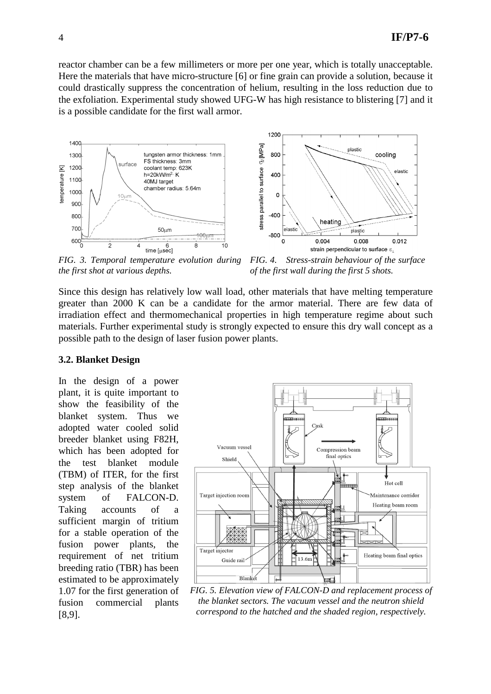reactor chamber can be a few millimeters or more per one year, which is totally unacceptable. Here the materials that have micro-structure [6] or fine grain can provide a solution, because it could drastically suppress the concentration of helium, resulting in the loss reduction due to the exfoliation. Experimental study showed UFG-W has high resistance to blistering [7] and it is a possible candidate for the first wall armor.



*FIG. 3. Temporal temperature evolution during the first shot at various depths.* 

*FIG. 4. Stress-strain behaviour of the surface of the first wall during the first 5 shots.* 

Since this design has relatively low wall load, other materials that have melting temperature greater than 2000 K can be a candidate for the armor material. There are few data of irradiation effect and thermomechanical properties in high temperature regime about such materials. Further experimental study is strongly expected to ensure this dry wall concept as a possible path to the design of laser fusion power plants.

#### **3.2. Blanket Design**

In the design of a power plant, it is quite important to show the feasibility of the blanket system. Thus we adopted water cooled solid breeder blanket using F82H, which has been adopted for the test blanket module (TBM) of ITER, for the first step analysis of the blanket system of FALCON-D. Taking accounts of a sufficient margin of tritium for a stable operation of the fusion power plants, the requirement of net tritium breeding ratio (TBR) has been estimated to be approximately 1.07 for the first generation of fusion commercial plants [8,9].



*FIG. 5. Elevation view of FALCON-D and replacement process of the blanket sectors. The vacuum vessel and the neutron shield correspond to the hatched and the shaded region, respectively.*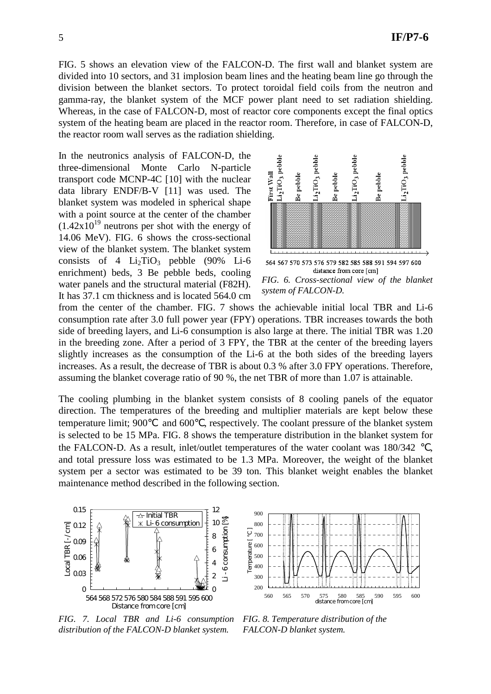FIG. 5 shows an elevation view of the FALCON-D. The first wall and blanket system are divided into 10 sectors, and 31 implosion beam lines and the heating beam line go through the division between the blanket sectors. To protect toroidal field coils from the neutron and gamma-ray, the blanket system of the MCF power plant need to set radiation shielding. Whereas, in the case of FALCON-D, most of reactor core components except the final optics system of the heating beam are placed in the reactor room. Therefore, in case of FALCON-D, the reactor room wall serves as the radiation shielding.

In the neutronics analysis of FALCON-D, the three-dimensional Monte Carlo N-particle transport code MCNP-4C [10] with the nuclear data library ENDF/B-V [11] was used. The blanket system was modeled in spherical shape with a point source at the center of the chamber  $(1.42x10^{19}$  neutrons per shot with the energy of 14.06 MeV). FIG. 6 shows the cross-sectional view of the blanket system. The blanket system consists of 4  $Li<sub>2</sub>TiO<sub>3</sub>$  pebble (90% Li-6) enrichment) beds, 3 Be pebble beds, cooling water panels and the structural material (F82H). It has 37.1 cm thickness and is located 564.0 cm



*FIG. 6. Cross-sectional view of the blanket system of FALCON-D.*

from the center of the chamber. FIG. 7 shows the achievable initial local TBR and Li-6 consumption rate after 3.0 full power year (FPY) operations. TBR increases towards the both side of breeding layers, and Li-6 consumption is also large at there. The initial TBR was 1.20 in the breeding zone. After a period of 3 FPY, the TBR at the center of the breeding layers slightly increases as the consumption of the Li-6 at the both sides of the breeding layers increases. As a result, the decrease of TBR is about 0.3 % after 3.0 FPY operations. Therefore, assuming the blanket coverage ratio of 90 %, the net TBR of more than 1.07 is attainable.

The cooling plumbing in the blanket system consists of 8 cooling panels of the equator direction. The temperatures of the breeding and multiplier materials are kept below these temperature limit; 900 and 600 , respectively. The coolant pressure of the blanket system is selected to be 15 MPa. FIG. 8 shows the temperature distribution in the blanket system for the FALCON-D. As a result, inlet/outlet temperatures of the water coolant was 180/342 and total pressure loss was estimated to be 1.3 MPa. Moreover, the weight of the blanket system per a sector was estimated to be 39 ton. This blanket weight enables the blanket maintenance method described in the following section.



900 800 Temperature [  $\qquad$  ] 700 emperature 600 500 400 300 200 560 565 570 575 580 585 590 595 600 distance from core [cm]

*FIG. 7. Local TBR and Li-6 consumption distribution of the FALCON-D blanket system.*

*FIG. 8. Temperature distribution of the FALCON-D blanket system.*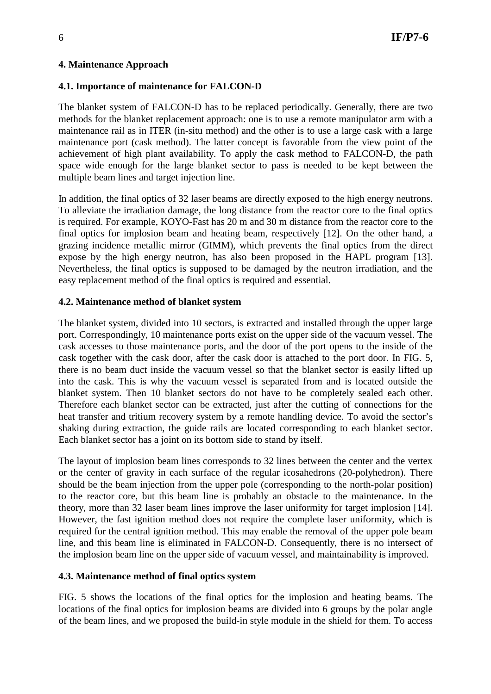## **4. Maintenance Approach**

## **4.1. Importance of maintenance for FALCON-D**

The blanket system of FALCON-D has to be replaced periodically. Generally, there are two methods for the blanket replacement approach: one is to use a remote manipulator arm with a maintenance rail as in ITER (in-situ method) and the other is to use a large cask with a large maintenance port (cask method). The latter concept is favorable from the view point of the achievement of high plant availability. To apply the cask method to FALCON-D, the path space wide enough for the large blanket sector to pass is needed to be kept between the multiple beam lines and target injection line.

In addition, the final optics of 32 laser beams are directly exposed to the high energy neutrons. To alleviate the irradiation damage, the long distance from the reactor core to the final optics is required. For example, KOYO-Fast has 20 m and 30 m distance from the reactor core to the final optics for implosion beam and heating beam, respectively [12]. On the other hand, a grazing incidence metallic mirror (GIMM), which prevents the final optics from the direct expose by the high energy neutron, has also been proposed in the HAPL program [13]. Nevertheless, the final optics is supposed to be damaged by the neutron irradiation, and the easy replacement method of the final optics is required and essential.

## **4.2. Maintenance method of blanket system**

The blanket system, divided into 10 sectors, is extracted and installed through the upper large port. Correspondingly, 10 maintenance ports exist on the upper side of the vacuum vessel. The cask accesses to those maintenance ports, and the door of the port opens to the inside of the cask together with the cask door, after the cask door is attached to the port door. In FIG. 5, there is no beam duct inside the vacuum vessel so that the blanket sector is easily lifted up into the cask. This is why the vacuum vessel is separated from and is located outside the blanket system. Then 10 blanket sectors do not have to be completely sealed each other. Therefore each blanket sector can be extracted, just after the cutting of connections for the heat transfer and tritium recovery system by a remote handling device. To avoid the sector's shaking during extraction, the guide rails are located corresponding to each blanket sector. Each blanket sector has a joint on its bottom side to stand by itself.

The layout of implosion beam lines corresponds to 32 lines between the center and the vertex or the center of gravity in each surface of the regular icosahedrons (20-polyhedron). There should be the beam injection from the upper pole (corresponding to the north-polar position) to the reactor core, but this beam line is probably an obstacle to the maintenance. In the theory, more than 32 laser beam lines improve the laser uniformity for target implosion [14]. However, the fast ignition method does not require the complete laser uniformity, which is required for the central ignition method. This may enable the removal of the upper pole beam line, and this beam line is eliminated in FALCON-D. Consequently, there is no intersect of the implosion beam line on the upper side of vacuum vessel, and maintainability is improved.

# **4.3. Maintenance method of final optics system**

FIG. 5 shows the locations of the final optics for the implosion and heating beams. The locations of the final optics for implosion beams are divided into 6 groups by the polar angle of the beam lines, and we proposed the build-in style module in the shield for them. To access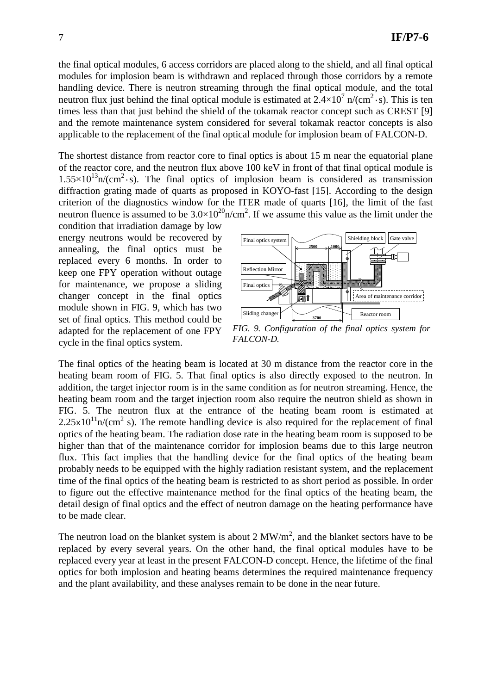the final optical modules, 6 access corridors are placed along to the shield, and all final optical modules for implosion beam is withdrawn and replaced through those corridors by a remote handling device. There is neutron streaming through the final optical module, and the total neutron flux just behind the final optical module is estimated at  $2.4 \times 10^7$  n/(cm<sup>2</sup>·s). This is ten times less than that just behind the shield of the tokamak reactor concept such as CREST [9] and the remote maintenance system considered for several tokamak reactor concepts is also applicable to the replacement of the final optical module for implosion beam of FALCON-D.

The shortest distance from reactor core to final optics is about 15 m near the equatorial plane of the reactor core, and the neutron flux above 100 keV in front of that final optical module is  $1.55 \times 10^{13}$ n/(cm<sup>2</sup>·s). The final optics of implosion beam is considered as transmission diffraction grating made of quarts as proposed in KOYO-fast [15]. According to the design criterion of the diagnostics window for the ITER made of quarts [16], the limit of the fast neutron fluence is assumed to be  $3.0 \times 10^{20}$  n/cm<sup>2</sup>. If we assume this value as the limit under the

condition that irradiation damage by low energy neutrons would be recovered by annealing, the final optics must be replaced every 6 months. In order to keep one FPY operation without outage for maintenance, we propose a sliding changer concept in the final optics module shown in FIG. 9, which has two set of final optics. This method could be adapted for the replacement of one FPY cycle in the final optics system.



*FIG. 9. Configuration of the final optics system for FALCON-D.* 

The final optics of the heating beam is located at 30 m distance from the reactor core in the heating beam room of FIG. 5. That final optics is also directly exposed to the neutron. In addition, the target injector room is in the same condition as for neutron streaming. Hence, the heating beam room and the target injection room also require the neutron shield as shown in FIG. 5. The neutron flux at the entrance of the heating beam room is estimated at  $2.25 \times 10^{11}$ n/(cm<sup>2</sup> s). The remote handling device is also required for the replacement of final optics of the heating beam. The radiation dose rate in the heating beam room is supposed to be higher than that of the maintenance corridor for implosion beams due to this large neutron flux. This fact implies that the handling device for the final optics of the heating beam probably needs to be equipped with the highly radiation resistant system, and the replacement time of the final optics of the heating beam is restricted to as short period as possible. In order to figure out the effective maintenance method for the final optics of the heating beam, the detail design of final optics and the effect of neutron damage on the heating performance have to be made clear.

The neutron load on the blanket system is about 2  $MW/m<sup>2</sup>$ , and the blanket sectors have to be replaced by every several years. On the other hand, the final optical modules have to be replaced every year at least in the present FALCON-D concept. Hence, the lifetime of the final optics for both implosion and heating beams determines the required maintenance frequency and the plant availability, and these analyses remain to be done in the near future.